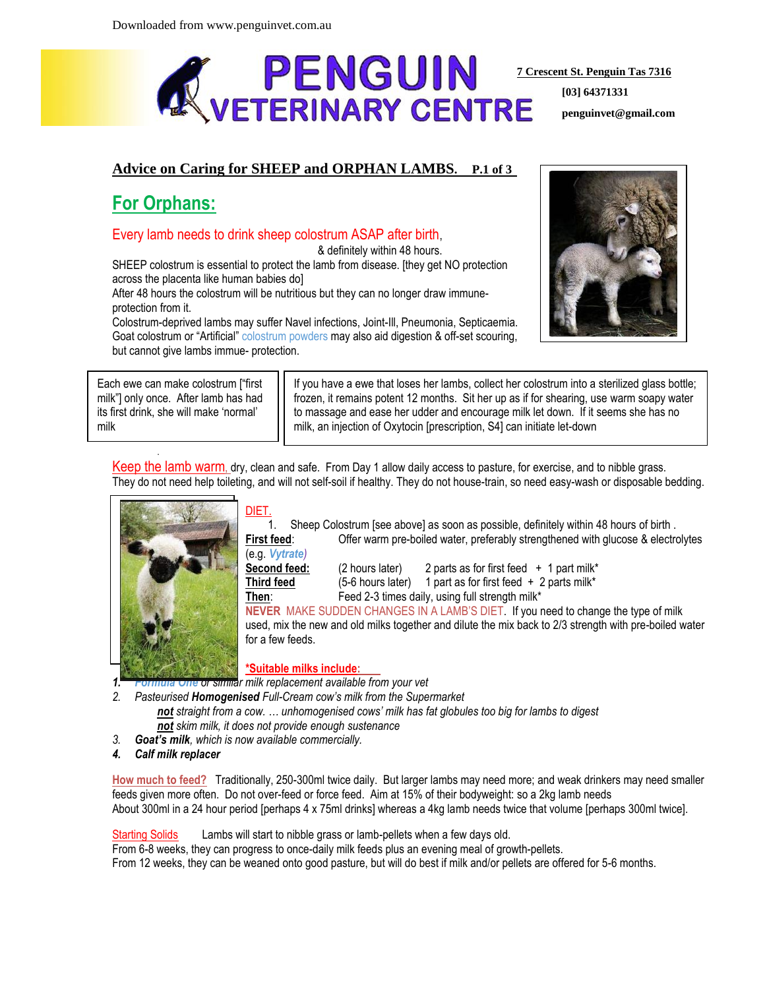

**[03] 64371331 penguinvet@gmail.com**

## **Advice on Caring for SHEEP and ORPHAN LAMBS. P.1 of 3**

# **For Orphans:**

## Every lamb needs to drink sheep colostrum ASAP after birth,

& definitely within 48 hours.

SHEEP colostrum is essential to protect the lamb from disease. [they get NO protection across the placenta like human babies do]

After 48 hours the colostrum will be nutritious but they can no longer draw immuneprotection from it.

Colostrum-deprived lambs may suffer Navel infections, Joint-Ill, Pneumonia, Septicaemia. Goat colostrum or "Artificial" colostrum powders may also aid digestion & off-set scouring, but cannot give lambs immue- protection.

Each ewe can make colostrum ["first milk"] only once. After lamb has had its first drink, she will make 'normal' milk

.

If you have a ewe that loses her lambs, collect her colostrum into a sterilized glass bottle; frozen, it remains potent 12 months. Sit her up as if for shearing, use warm soapy water to massage and ease her udder and encourage milk let down. If it seems she has no milk, an injection of Oxytocin [prescription, S4] can initiate let-down

Keep the lamb warm, dry, clean and safe. From Day 1 allow daily access to pasture, for exercise, and to nibble grass. They do not need help toileting, and will not self-soil if healthy. They do not house-train, so need easy-wash or disposable bedding.



### DIET.

(e.g. *Vytrate)*

1. Sheep Colostrum [see above] as soon as possible, definitely within 48 hours of birth . **First feed:** Offer warm pre-boiled water, preferably strengthened with glucose & electrolytes

**Second feed:** (2 hours later) 2 parts as for first feed + 1 part milk\* **Third feed** (5-6 hours later) 1 part as for first feed + 2 parts milk\*

**Then:** Feed 2-3 times daily, using full strength milk\*

**NEVER** MAKE SUDDEN CHANGES IN A LAMB'S DIET. If you need to change the type of milk used, mix the new and old milks together and dilute the mix back to 2/3 strength with pre-boiled water for a few feeds.

### **\*Suitable milks include:**

*1. Formula One or similar milk replacement available from your vet*

*2. Pasteurised Homogenised Full-Cream cow's milk from the Supermarket*

- *not straight from a cow. … unhomogenised cows' milk has fat globules too big for lambs to digest not skim milk, it does not provide enough sustenance*
- *3. Goat's milk, which is now available commercially.*
- *4. Calf milk replacer*

**How much to feed?** Traditionally, 250-300ml twice daily. But larger lambs may need more; and weak drinkers may need smaller feeds given more often. Do not over-feed or force feed. Aim at 15% of their bodyweight: so a 2kg lamb needs About 300ml in a 24 hour period [perhaps 4 x 75ml drinks] whereas a 4kg lamb needs twice that volume [perhaps 300ml twice].

Starting Solids Lambs will start to nibble grass or lamb-pellets when a few days old.

From 6-8 weeks, they can progress to once-daily milk feeds plus an evening meal of growth-pellets.

From 12 weeks, they can be weaned onto good pasture, but will do best if milk and/or pellets are offered for 5-6 months.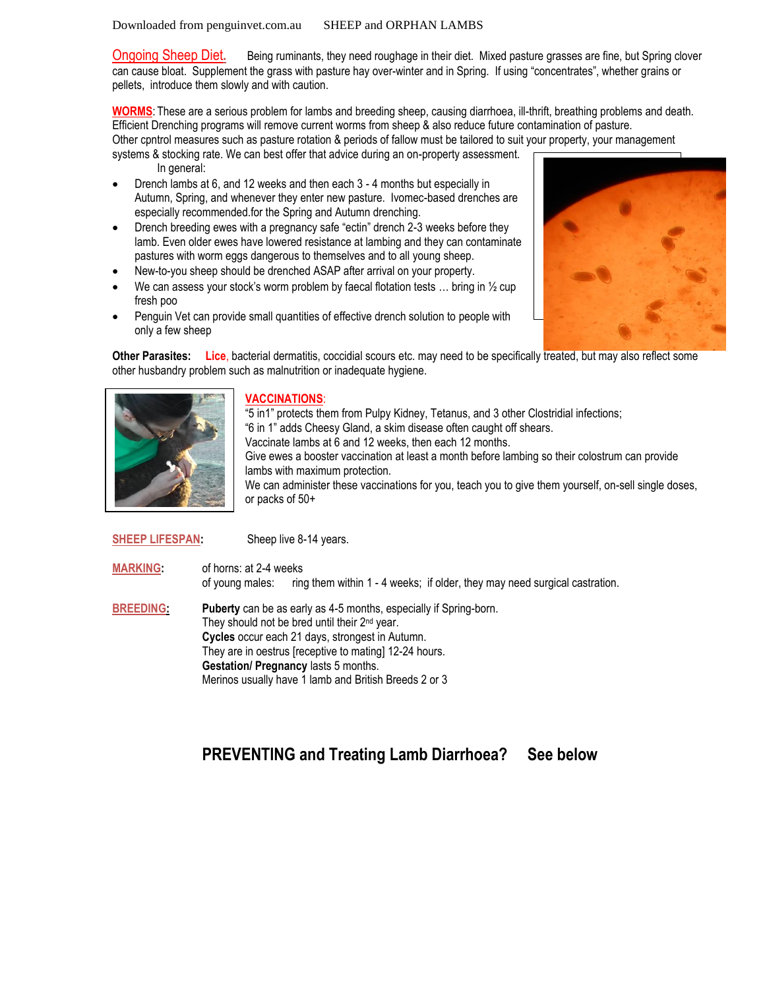Downloaded from penguinvet.com.au SHEEP and ORPHAN LAMBS

Ongoing Sheep Diet**.** Being ruminants, they need roughage in their diet. Mixed pasture grasses are fine, but Spring clover can cause bloat. Supplement the grass with pasture hay over-winter and in Spring. If using "concentrates", whether grains or pellets, introduce them slowly and with caution.

**WORMS**: These are a serious problem for lambs and breeding sheep, causing diarrhoea, ill-thrift, breathing problems and death. Efficient Drenching programs will remove current worms from sheep & also reduce future contamination of pasture.

Other cpntrol measures such as pasture rotation & periods of fallow must be tailored to suit your property, your management

- systems & stocking rate. We can best offer that advice during an on-property assessment. In general:
- Drench lambs at 6, and 12 weeks and then each 3 4 months but especially in Autumn, Spring, and whenever they enter new pasture. Ivomec-based drenches are especially recommended.for the Spring and Autumn drenching.
- Drench breeding ewes with a pregnancy safe "ectin" drench 2-3 weeks before they lamb. Even older ewes have lowered resistance at lambing and they can contaminate pastures with worm eggs dangerous to themselves and to all young sheep.
- New-to-you sheep should be drenched ASAP after arrival on your property.
- We can assess your stock's worm problem by faecal flotation tests  $\dots$  bring in  $\frac{1}{2}$  cup fresh poo
- Penguin Vet can provide small quantities of effective drench solution to people with only a few sheep

**Other Parasites: Lice**, bacterial dermatitis, coccidial scours etc. may need to be specifically treated, but may also reflect some other husbandry problem such as malnutrition or inadequate hygiene.



#### **VACCINATIONS**:

"5 in1" protects them from Pulpy Kidney, Tetanus, and 3 other Clostridial infections; "6 in 1" adds Cheesy Gland, a skim disease often caught off shears. Vaccinate lambs at 6 and 12 weeks, then each 12 months. Give ewes a booster vaccination at least a month before lambing so their colostrum can provide lambs with maximum protection. We can administer these vaccinations for you, teach you to give them yourself, on-sell single doses, or packs of 50+

#### **SHEEP LIFESPAN:** Sheep live 8-14 years.

**MARKING:** of horns: at 2-4 weeks

of young males: ring them within 1 - 4 weeks; if older, they may need surgical castration.

**BREEDING: Puberty** can be as early as 4-5 months, especially if Spring-born. They should not be bred until their 2<sup>nd</sup> year. **Cycles** occur each 21 days, strongest in Autumn. They are in oestrus [receptive to mating] 12-24 hours. **Gestation/ Pregnancy** lasts 5 months. Merinos usually have 1 lamb and British Breeds 2 or 3

## **PREVENTING and Treating Lamb Diarrhoea? See below**